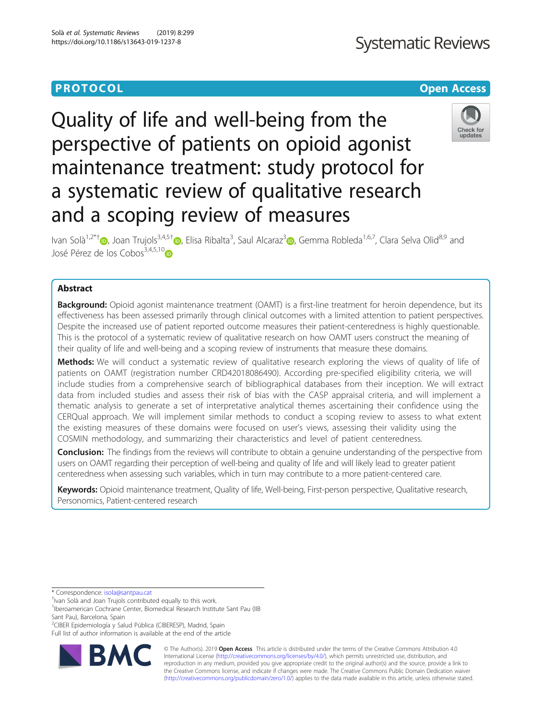# **Systematic Reviews**

# **PROTOCOL CONSUMING THE CONSUMING TEACHER CONSUMING THE CONSUMING TEACHER CONSUMING THE CONSUMING TEACHER CONSUMING**

# Quality of life and well-being from the perspective of patients on opioid agonist maintenance treatment: study protocol for a systematic review of qualitative research and a scoping review of measures



Ivan Solà<sup>1[,](https://orcid.org/0000-0002-5720-8801)2\*†</sup>�, Joan Trujols<sup>3,4,5†</sup>�, Elisa Ribalta<sup>3</sup>, Saul Alcaraz<sup>3</sup>�, Gemma Robleda<sup>1,6,7</sup>, Clara Selva Olid<sup>8,9</sup> and José Pérez de los Cobos<sup>3,4,5,10</sup>

# Abstract

**Background:** Opioid agonist maintenance treatment (OAMT) is a first-line treatment for heroin dependence, but its effectiveness has been assessed primarily through clinical outcomes with a limited attention to patient perspectives. Despite the increased use of patient reported outcome measures their patient-centeredness is highly questionable. This is the protocol of a systematic review of qualitative research on how OAMT users construct the meaning of their quality of life and well-being and a scoping review of instruments that measure these domains.

Methods: We will conduct a systematic review of qualitative research exploring the views of quality of life of patients on OAMT (registration number CRD42018086490). According pre-specified eligibility criteria, we will include studies from a comprehensive search of bibliographical databases from their inception. We will extract data from included studies and assess their risk of bias with the CASP appraisal criteria, and will implement a thematic analysis to generate a set of interpretative analytical themes ascertaining their confidence using the CERQual approach. We will implement similar methods to conduct a scoping review to assess to what extent the existing measures of these domains were focused on user's views, assessing their validity using the COSMIN methodology, and summarizing their characteristics and level of patient centeredness.

**Conclusion:** The findings from the reviews will contribute to obtain a genuine understanding of the perspective from users on OAMT regarding their perception of well-being and quality of life and will likely lead to greater patient centeredness when assessing such variables, which in turn may contribute to a more patient-centered care.

Keywords: Opioid maintenance treatment, Quality of life, Well-being, First-person perspective, Qualitative research, Personomics, Patient-centered research

2 CIBER Epidemiología y Salud Pública (CIBERESP), Madrid, Spain

Full list of author information is available at the end of the article



© The Author(s). 2019 **Open Access** This article is distributed under the terms of the Creative Commons Attribution 4.0 International License [\(http://creativecommons.org/licenses/by/4.0/](http://creativecommons.org/licenses/by/4.0/)), which permits unrestricted use, distribution, and reproduction in any medium, provided you give appropriate credit to the original author(s) and the source, provide a link to the Creative Commons license, and indicate if changes were made. The Creative Commons Public Domain Dedication waiver [\(http://creativecommons.org/publicdomain/zero/1.0/](http://creativecommons.org/publicdomain/zero/1.0/)) applies to the data made available in this article, unless otherwise stated.

<sup>\*</sup> Correspondence: [isola@santpau.cat](mailto:isola@santpau.cat) †

<sup>&</sup>lt;sup>†</sup>Ivan Solà and Joan Trujols contributed equally to this work.

<sup>&</sup>lt;sup>1</sup>Iberoamerican Cochrane Center, Biomedical Research Institute Sant Pau (IIB Sant Pau), Barcelona, Spain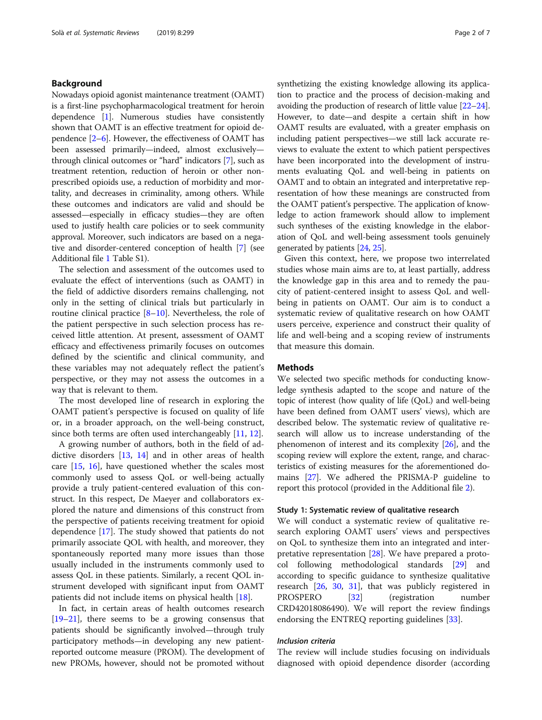# Background

Nowadays opioid agonist maintenance treatment (OAMT) is a first-line psychopharmacological treatment for heroin dependence  $[1]$  $[1]$ . Numerous studies have consistently shown that OAMT is an effective treatment for opioid dependence [[2](#page-5-0)–[6](#page-5-0)]. However, the effectiveness of OAMT has been assessed primarily—indeed, almost exclusively through clinical outcomes or "hard" indicators [\[7](#page-5-0)], such as treatment retention, reduction of heroin or other nonprescribed opioids use, a reduction of morbidity and mortality, and decreases in criminality, among others. While these outcomes and indicators are valid and should be assessed—especially in efficacy studies—they are often used to justify health care policies or to seek community approval. Moreover, such indicators are based on a negative and disorder-centered conception of health [[7\]](#page-5-0) (see Additional file [1](#page-4-0) Table S1).

The selection and assessment of the outcomes used to evaluate the effect of interventions (such as OAMT) in the field of addictive disorders remains challenging, not only in the setting of clinical trials but particularly in routine clinical practice [[8](#page-5-0)–[10](#page-5-0)]. Nevertheless, the role of the patient perspective in such selection process has received little attention. At present, assessment of OAMT efficacy and effectiveness primarily focuses on outcomes defined by the scientific and clinical community, and these variables may not adequately reflect the patient's perspective, or they may not assess the outcomes in a way that is relevant to them.

The most developed line of research in exploring the OAMT patient's perspective is focused on quality of life or, in a broader approach, on the well-being construct, since both terms are often used interchangeably [\[11](#page-5-0), [12](#page-5-0)].

A growing number of authors, both in the field of addictive disorders [[13](#page-5-0), [14](#page-5-0)] and in other areas of health care [[15,](#page-5-0) [16\]](#page-5-0), have questioned whether the scales most commonly used to assess QoL or well-being actually provide a truly patient-centered evaluation of this construct. In this respect, De Maeyer and collaborators explored the nature and dimensions of this construct from the perspective of patients receiving treatment for opioid dependence [[17](#page-5-0)]. The study showed that patients do not primarily associate QOL with health, and moreover, they spontaneously reported many more issues than those usually included in the instruments commonly used to assess QoL in these patients. Similarly, a recent QOL instrument developed with significant input from OAMT patients did not include items on physical health [\[18](#page-5-0)].

In fact, in certain areas of health outcomes research [[19](#page-5-0)–[21\]](#page-5-0), there seems to be a growing consensus that patients should be significantly involved—through truly participatory methods—in developing any new patientreported outcome measure (PROM). The development of new PROMs, however, should not be promoted without synthetizing the existing knowledge allowing its application to practice and the process of decision-making and avoiding the production of research of little value [\[22](#page-5-0)–[24](#page-5-0)]. However, to date—and despite a certain shift in how OAMT results are evaluated, with a greater emphasis on including patient perspectives—we still lack accurate reviews to evaluate the extent to which patient perspectives have been incorporated into the development of instruments evaluating QoL and well-being in patients on OAMT and to obtain an integrated and interpretative representation of how these meanings are constructed from the OAMT patient's perspective. The application of knowledge to action framework should allow to implement such syntheses of the existing knowledge in the elaboration of QoL and well-being assessment tools genuinely generated by patients [\[24](#page-5-0), [25](#page-5-0)].

Given this context, here, we propose two interrelated studies whose main aims are to, at least partially, address the knowledge gap in this area and to remedy the paucity of patient-centered insight to assess QoL and wellbeing in patients on OAMT. Our aim is to conduct a systematic review of qualitative research on how OAMT users perceive, experience and construct their quality of life and well-being and a scoping review of instruments that measure this domain.

# **Methods**

We selected two specific methods for conducting knowledge synthesis adapted to the scope and nature of the topic of interest (how quality of life (QoL) and well-being have been defined from OAMT users' views), which are described below. The systematic review of qualitative research will allow us to increase understanding of the phenomenon of interest and its complexity [[26\]](#page-5-0), and the scoping review will explore the extent, range, and characteristics of existing measures for the aforementioned domains [\[27\]](#page-5-0). We adhered the PRISMA-P guideline to report this protocol (provided in the Additional file [2](#page-4-0)).

# Study 1: Systematic review of qualitative research

We will conduct a systematic review of qualitative research exploring OAMT users' views and perspectives on QoL to synthesize them into an integrated and interpretative representation  $[28]$  $[28]$ . We have prepared a protocol following methodological standards [\[29](#page-5-0)] and according to specific guidance to synthesize qualitative research [[26,](#page-5-0) [30](#page-5-0), [31](#page-5-0)], that was publicly registered in PROSPERO [[32\]](#page-5-0) (registration number CRD42018086490). We will report the review findings endorsing the ENTREQ reporting guidelines [\[33](#page-5-0)].

# Inclusion criteria

The review will include studies focusing on individuals diagnosed with opioid dependence disorder (according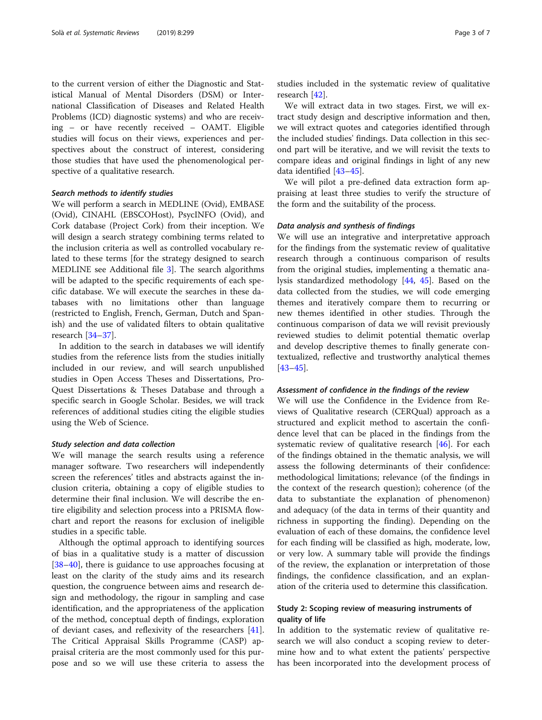to the current version of either the Diagnostic and Statistical Manual of Mental Disorders (DSM) or International Classification of Diseases and Related Health Problems (ICD) diagnostic systems) and who are receiving – or have recently received – OAMT. Eligible studies will focus on their views, experiences and perspectives about the construct of interest, considering those studies that have used the phenomenological perspective of a qualitative research.

# Search methods to identify studies

We will perform a search in MEDLINE (Ovid), EMBASE (Ovid), CINAHL (EBSCOHost), PsycINFO (Ovid), and Cork database (Project Cork) from their inception. We will design a search strategy combining terms related to the inclusion criteria as well as controlled vocabulary related to these terms [for the strategy designed to search MEDLINE see Additional file [3](#page-4-0)]. The search algorithms will be adapted to the specific requirements of each specific database. We will execute the searches in these databases with no limitations other than language (restricted to English, French, German, Dutch and Spanish) and the use of validated filters to obtain qualitative research [[34](#page-5-0)–[37](#page-5-0)].

In addition to the search in databases we will identify studies from the reference lists from the studies initially included in our review, and will search unpublished studies in Open Access Theses and Dissertations, Pro-Quest Dissertations & Theses Database and through a specific search in Google Scholar. Besides, we will track references of additional studies citing the eligible studies using the Web of Science.

# Study selection and data collection

We will manage the search results using a reference manager software. Two researchers will independently screen the references' titles and abstracts against the inclusion criteria, obtaining a copy of eligible studies to determine their final inclusion. We will describe the entire eligibility and selection process into a PRISMA flowchart and report the reasons for exclusion of ineligible studies in a specific table.

Although the optimal approach to identifying sources of bias in a qualitative study is a matter of discussion [[38](#page-5-0)–[40](#page-5-0)], there is guidance to use approaches focusing at least on the clarity of the study aims and its research question, the congruence between aims and research design and methodology, the rigour in sampling and case identification, and the appropriateness of the application of the method, conceptual depth of findings, exploration of deviant cases, and reflexivity of the researchers [\[41](#page-5-0)]. The Critical Appraisal Skills Programme (CASP) appraisal criteria are the most commonly used for this purpose and so we will use these criteria to assess the studies included in the systematic review of qualitative research [[42\]](#page-5-0).

We will extract data in two stages. First, we will extract study design and descriptive information and then, we will extract quotes and categories identified through the included studies' findings. Data collection in this second part will be iterative, and we will revisit the texts to compare ideas and original findings in light of any new data identified [\[43](#page-5-0)–[45\]](#page-5-0).

We will pilot a pre-defined data extraction form appraising at least three studies to verify the structure of the form and the suitability of the process.

# Data analysis and synthesis of findings

We will use an integrative and interpretative approach for the findings from the systematic review of qualitative research through a continuous comparison of results from the original studies, implementing a thematic analysis standardized methodology [[44,](#page-5-0) [45](#page-5-0)]. Based on the data collected from the studies, we will code emerging themes and iteratively compare them to recurring or new themes identified in other studies. Through the continuous comparison of data we will revisit previously reviewed studies to delimit potential thematic overlap and develop descriptive themes to finally generate contextualized, reflective and trustworthy analytical themes [[43](#page-5-0)–[45](#page-5-0)].

# Assessment of confidence in the findings of the review

We will use the Confidence in the Evidence from Reviews of Qualitative research (CERQual) approach as a structured and explicit method to ascertain the confidence level that can be placed in the findings from the systematic review of qualitative research [\[46](#page-5-0)]. For each of the findings obtained in the thematic analysis, we will assess the following determinants of their confidence: methodological limitations; relevance (of the findings in the context of the research question); coherence (of the data to substantiate the explanation of phenomenon) and adequacy (of the data in terms of their quantity and richness in supporting the finding). Depending on the evaluation of each of these domains, the confidence level for each finding will be classified as high, moderate, low, or very low. A summary table will provide the findings of the review, the explanation or interpretation of those findings, the confidence classification, and an explanation of the criteria used to determine this classification.

# Study 2: Scoping review of measuring instruments of quality of life

In addition to the systematic review of qualitative research we will also conduct a scoping review to determine how and to what extent the patients' perspective has been incorporated into the development process of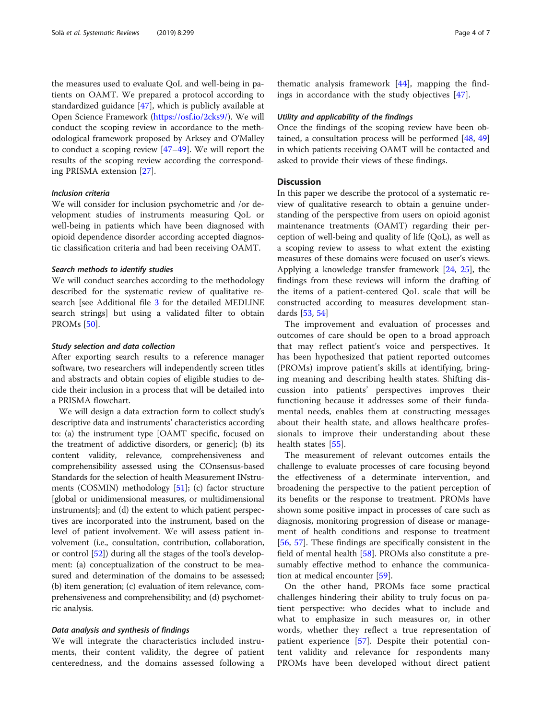the measures used to evaluate QoL and well-being in patients on OAMT. We prepared a protocol according to standardized guidance [\[47](#page-6-0)], which is publicly available at Open Science Framework (<https://osf.io/2cks9/>). We will conduct the scoping review in accordance to the methodological framework proposed by Arksey and O'Malley to conduct a scoping review [[47](#page-6-0)–[49](#page-6-0)]. We will report the results of the scoping review according the corresponding PRISMA extension [\[27](#page-5-0)].

# Inclusion criteria

We will consider for inclusion psychometric and /or development studies of instruments measuring QoL or well-being in patients which have been diagnosed with opioid dependence disorder according accepted diagnostic classification criteria and had been receiving OAMT.

# Search methods to identify studies

We will conduct searches according to the methodology described for the systematic review of qualitative research [see Additional file [3](#page-4-0) for the detailed MEDLINE search strings] but using a validated filter to obtain PROMs [[50\]](#page-6-0).

# Study selection and data collection

After exporting search results to a reference manager software, two researchers will independently screen titles and abstracts and obtain copies of eligible studies to decide their inclusion in a process that will be detailed into a PRISMA flowchart.

We will design a data extraction form to collect study's descriptive data and instruments' characteristics according to: (a) the instrument type [OAMT specific, focused on the treatment of addictive disorders, or generic]; (b) its content validity, relevance, comprehensiveness and comprehensibility assessed using the COnsensus-based Standards for the selection of health Measurement INstruments (COSMIN) methodology [[51](#page-6-0)]; (c) factor structure [global or unidimensional measures, or multidimensional instruments]; and (d) the extent to which patient perspectives are incorporated into the instrument, based on the level of patient involvement. We will assess patient involvement (i.e., consultation, contribution, collaboration, or control [\[52\]](#page-6-0)) during all the stages of the tool's development: (a) conceptualization of the construct to be measured and determination of the domains to be assessed; (b) item generation; (c) evaluation of item relevance, comprehensiveness and comprehensibility; and (d) psychometric analysis.

# Data analysis and synthesis of findings

We will integrate the characteristics included instruments, their content validity, the degree of patient centeredness, and the domains assessed following a

thematic analysis framework [\[44](#page-5-0)], mapping the findings in accordance with the study objectives [[47\]](#page-6-0).

# Utility and applicability of the findings

Once the findings of the scoping review have been obtained, a consultation process will be performed [\[48](#page-6-0), [49](#page-6-0)] in which patients receiving OAMT will be contacted and asked to provide their views of these findings.

# **Discussion**

In this paper we describe the protocol of a systematic review of qualitative research to obtain a genuine understanding of the perspective from users on opioid agonist maintenance treatments (OAMT) regarding their perception of well-being and quality of life (QoL), as well as a scoping review to assess to what extent the existing measures of these domains were focused on user's views. Applying a knowledge transfer framework [[24,](#page-5-0) [25](#page-5-0)], the findings from these reviews will inform the drafting of the items of a patient-centered QoL scale that will be constructed according to measures development standards [\[53,](#page-6-0) [54\]](#page-6-0)

The improvement and evaluation of processes and outcomes of care should be open to a broad approach that may reflect patient's voice and perspectives. It has been hypothesized that patient reported outcomes (PROMs) improve patient's skills at identifying, bringing meaning and describing health states. Shifting discussion into patients' perspectives improves their functioning because it addresses some of their fundamental needs, enables them at constructing messages about their health state, and allows healthcare professionals to improve their understanding about these health states [[55\]](#page-6-0).

The measurement of relevant outcomes entails the challenge to evaluate processes of care focusing beyond the effectiveness of a determinate intervention, and broadening the perspective to the patient perception of its benefits or the response to treatment. PROMs have shown some positive impact in processes of care such as diagnosis, monitoring progression of disease or management of health conditions and response to treatment [[56,](#page-6-0) [57](#page-6-0)]. These findings are specifically consistent in the field of mental health [[58\]](#page-6-0). PROMs also constitute a presumably effective method to enhance the communication at medical encounter [\[59](#page-6-0)].

On the other hand, PROMs face some practical challenges hindering their ability to truly focus on patient perspective: who decides what to include and what to emphasize in such measures or, in other words, whether they reflect a true representation of patient experience [\[57](#page-6-0)]. Despite their potential content validity and relevance for respondents many PROMs have been developed without direct patient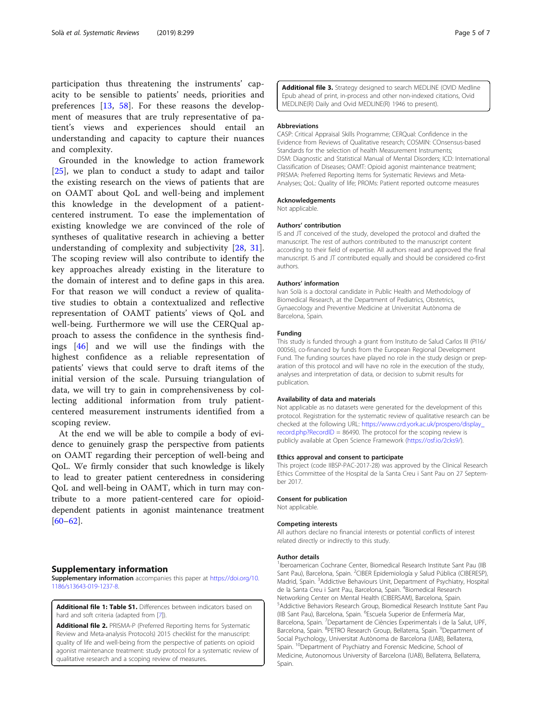<span id="page-4-0"></span>participation thus threatening the instruments' capacity to be sensible to patients' needs, priorities and preferences [\[13](#page-5-0), [58](#page-6-0)]. For these reasons the development of measures that are truly representative of patient's views and experiences should entail an understanding and capacity to capture their nuances and complexity.

Grounded in the knowledge to action framework [[25\]](#page-5-0), we plan to conduct a study to adapt and tailor the existing research on the views of patients that are on OAMT about QoL and well-being and implement this knowledge in the development of a patientcentered instrument. To ease the implementation of existing knowledge we are convinced of the role of syntheses of qualitative research in achieving a better understanding of complexity and subjectivity [\[28](#page-5-0), [31](#page-5-0)]. The scoping review will also contribute to identify the key approaches already existing in the literature to the domain of interest and to define gaps in this area. For that reason we will conduct a review of qualitative studies to obtain a contextualized and reflective representation of OAMT patients' views of QoL and well-being. Furthermore we will use the CERQual approach to assess the confidence in the synthesis findings [\[46](#page-5-0)] and we will use the findings with the highest confidence as a reliable representation of patients' views that could serve to draft items of the initial version of the scale. Pursuing triangulation of data, we will try to gain in comprehensiveness by collecting additional information from truly patientcentered measurement instruments identified from a scoping review.

At the end we will be able to compile a body of evidence to genuinely grasp the perspective from patients on OAMT regarding their perception of well-being and QoL. We firmly consider that such knowledge is likely to lead to greater patient centeredness in considering QoL and well-being in OAMT, which in turn may contribute to a more patient-centered care for opioiddependent patients in agonist maintenance treatment [[60](#page-6-0)–[62](#page-6-0)].

# Supplementary information

Supplementary information accompanies this paper at [https://doi.org/10.](https://doi.org/10.1186/s13643-019-1237-8) [1186/s13643-019-1237-8.](https://doi.org/10.1186/s13643-019-1237-8)

Additional file 1: Table S1. Differences between indicators based on hard and soft criteria (adapted from [\[7\]](#page-5-0)).

Additional file 2. PRISMA-P (Preferred Reporting Items for Systematic Review and Meta-analysis Protocols) 2015 checklist for the manuscript: quality of life and well-being from the perspective of patients on opioid agonist maintenance treatment: study protocol for a systematic review of qualitative research and a scoping review of measures.

Additional file 3. Strategy designed to search MEDLINE (OVID Medline Epub ahead of print, in-process and other non-indexed citations, Ovid MEDLINE(R) Daily and Ovid MEDLINE(R) 1946 to present).

#### Abbreviations

CASP: Critical Appraisal Skills Programme; CERQual: Confidence in the Evidence from Reviews of Qualitative research; COSMIN: COnsensus-based Standards for the selection of health Measurement Instruments; DSM: Diagnostic and Statistical Manual of Mental Disorders; ICD: International Classification of Diseases; OAMT: Opioid agonist maintenance treatment; PRISMA: Preferred Reporting Items for Systematic Reviews and Meta-Analyses; QoL: Quality of life; PROMs: Patient reported outcome measures

#### Acknowledgements

Not applicable.

#### Authors' contribution

IS and JT conceived of the study, developed the protocol and drafted the manuscript. The rest of authors contributed to the manuscript content according to their field of expertise. All authors read and approved the final manuscript. IS and JT contributed equally and should be considered co-first authors.

### Authors' information

Ivan Solà is a doctoral candidate in Public Health and Methodology of Biomedical Research, at the Department of Pediatrics, Obstetrics, Gynaecology and Preventive Medicine at Universitat Autònoma de Barcelona, Spain.

### Funding

This study is funded through a grant from Instituto de Salud Carlos III (PI16/ 00056), co-financed by funds from the European Regional Development Fund. The funding sources have played no role in the study design or preparation of this protocol and will have no role in the execution of the study, analyses and interpretation of data, or decision to submit results for publication.

#### Availability of data and materials

Not applicable as no datasets were generated for the development of this protocol. Registration for the systematic review of qualitative research can be checked at the following URL: [https://www.crd.york.ac.uk/prospero/display\\_](https://www.crd.york.ac.uk/prospero/display_record.php?RecordID) [record.php?RecordID](https://www.crd.york.ac.uk/prospero/display_record.php?RecordID) =  $86490$ . The protocol for the scoping review is publicly available at Open Science Framework (<https://osf.io/2cks9/>).

#### Ethics approval and consent to participate

This project (code IIBSP-PAC-2017-28) was approved by the Clinical Research Ethics Committee of the Hospital de la Santa Creu i Sant Pau on 27 September 2017.

#### Consent for publication

Not applicable.

# Competing interests

All authors declare no financial interests or potential conflicts of interest related directly or indirectly to this study.

#### Author details

<sup>1</sup> Iberoamerican Cochrane Center, Biomedical Research Institute Sant Pau (IIB Sant Pau), Barcelona, Spain. <sup>2</sup>CIBER Epidemiología y Salud Pública (CIBERESP) Madrid, Spain. <sup>3</sup>Addictive Behaviours Unit, Department of Psychiatry, Hospital de la Santa Creu i Sant Pau, Barcelona, Spain. <sup>4</sup> Biomedical Research Networking Center on Mental Health (CIBERSAM), Barcelona, Spain. 5 Addictive Behaviors Research Group, Biomedical Research Institute Sant Pau (IIB Sant Pau), Barcelona, Spain. <sup>6</sup> Escuela Superior de Enfermería Mar, Barcelona, Spain. <sup>7</sup> Departament de Ciències Experimentals i de la Salut, UPF, Barcelona, Spain. <sup>8</sup>PETRO Research Group, Bellaterra, Spain. <sup>9</sup>Department of Social Psychology, Universitat Autònoma de Barcelona (UAB), Bellaterra, Spain. <sup>10</sup>Department of Psychiatry and Forensic Medicine, School of Medicine, Autonomous University of Barcelona (UAB), Bellaterra, Bellaterra, Spain.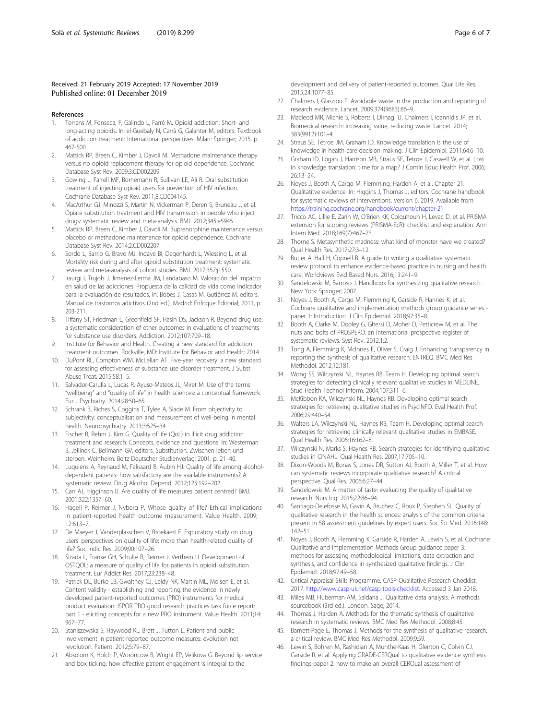# <span id="page-5-0"></span>Received: 21 February 2019 Accepted: 17 November 2019 Published online: 01 December 2019

#### References

- 1. Torrens M, Fonseca, F, Galindo L, Farré M. Opioid addiction: Short- and long-acting opioids. In: el-Guebaly N, Carrà G, Galanter M, editors. Textbook of addiction treatment: International perspectives. Milan: Springer; 2015. p. 467-500.
- 2. Mattick RP, Breen C, Kimber J, Davoli M. Methadone maintenance therapy versus no opioid replacement therapy for opioid dependence. Cochrane Database Syst Rev. 2009;3:CD002209.
- Gowing L, Farrell MF, Bornemann R, Sullivan LE, Ali R. Oral substitution treatment of injecting opioid users for prevention of HIV infection. Cochrane Database Syst Rev. 2011;8:CD004145.
- 4. MacArthur GJ, Minozzi S, Martin N, Vickerman P, Deren S, Bruneau J, et al. Opiate substitution treatment and HIV transmission in people who inject drugs: systematic review and meta-analysis. BMJ. 2012;345:e5945.
- 5. Mattick RP, Breen C, Kimber J, Davoli M. Buprenorphine maintenance versus placebo or methadone maintenance for opioid dependence. Cochrane Database Syst Rev. 2014;2:CD002207.
- Sordo L, Barrio G, Bravo MJ, Indave BI, Degenhardt L, Wiessing L, et al. Mortality risk during and after opioid substitution treatment: systematic review and meta-analysis of cohort studies. BMJ. 2017;357:j1550.
- 7. Iraurgi I, Trujols J, Jimenez-Lerma JM, Landabaso M. Valoración del impacto en salud de las adicciones: Propuesta de la calidad de vida como indicador para la evaluación de resultados. In: Bobes J, Casas M, Gutiérrez M, editors. Manual de trastornos adictivos (2nd ed.). Madrid: Enfoque Editorial; 2011, p. 203-211.
- 8. Tiffany ST, Friedman L, Greenfield SF, Hasin DS, Jackson R. Beyond drug use: a systematic consideration of other outcomes in evaluations of treatments for substance use disorders. Addiction. 2012;107:709–18.
- 9. Institute for Behavior and Health. Creating a new standard for addiction treatment outcomes. Rockville, MD: Institute for Behavior and Health; 2014.
- 10. DuPont RL, Compton WM, McLellan AT. Five-year recovery: a new standard for assessing effectiveness of substance use disorder treatment. J Subst Abuse Treat. 2015;58:1–5.
- 11. Salvador-Carulla L, Lucas R, Ayuso-Mateos JL, Miret M. Use of the terms "wellbeing" and "quality of life" in health sciences: a conceptual framework. Eur J Psychiatry. 2014;28:50–65.
- 12. Schrank B, Riches S, Coggins T, Tylee A, Slade M. From objectivity to subjectivity: conceptualisation and measurement of well-being in mental health. Neuropsychiatry. 2013;3:525–34.
- 13. Fischer B, Rehm J, Kim G. Quality of life (QoL) in illicit drug addiction treatment and research: Concepts, evidence and questions. In: Westerman B, Jellinek C, Bellmann GV, editors. Substitution: Zwischen leben und sterben. Weinheim: Beltz Deutscher Studienverlag; 2001. p. 21–40.
- 14. Luquiens A, Reynaud M, Falissard B, Aubin HJ. Quality of life among alcoholdependent patients: how satisfactory are the available instruments? A systematic review. Drug Alcohol Depend. 2012;125:192–202.
- 15. Carr AJ, Higginson IJ. Are quality of life measures patient centred? BMJ. 2001;322:1357–60.
- 16. Hagell P, Reimer J, Nyberg P. Whose quality of life? Ethical implications in patient-reported health outcome measurement. Value Health. 2009; 12:613–7.
- 17. De Maeyer J, Vanderplasschen V, Broekaert E. Exploratory study on drug users' perspectives on quality of life: more than health-related quality of life? Soc Indic Res. 2009;90:107–26.
- Strada L, Franke GH, Schulte B, Reimer J, Verthein U. Development of OSTQOL: a measure of quality of life for patients in opioid substitution treatment. Eur Addict Res. 2017;23:238–48.
- 19. Patrick DL, Burke LB, Gwaltney CJ, Leidy NK, Martin ML, Molsen E, et al. Content validity - establishing and reporting the evidence in newly developed patient-reported outcomes (PRO) instruments for medical product evaluation: ISPOR PRO good research practices task force report: part 1 - eliciting concepts for a new PRO instrument. Value Health. 2011;14: 967–77.
- 20. Staniszewska S, Haywood KL, Brett J, Tutton L. Patient and public involvement in patient-reported outcome measures: evolution not revolution. Patient. 2012;5:79–87.
- 21. Absolom K, Holch P, Woroncow B, Wright EP, Velikova G. Beyond lip service and box ticking: how effective patient engagement is integral to the

development and delivery of patient-reported outcomes. Qual Life Res. 2015;24:1077–85.

- 22. Chalmers I, Glasziou P. Avoidable waste in the production and reporting of research evidence. Lancet. 2009;374(9683):86–9.
- 23. Macleod MR, Michie S, Roberts I, Dirnagl U, Chalmers I, Ioannidis JP, et al. Biomedical research: increasing value, reducing waste. Lancet. 2014; 383(9912):101–4.
- 24. Straus SE, Tetroe JM, Graham ID. Knowledge translation is the use of knowledge in health care decision making. J Clin Epidemiol. 2011;64:6–10.
- 25. Graham ID, Logan J, Harrison MB, Straus SE, Tetroe J, Caswell W, et al. Lost in knowledge translation: time for a map? J Contin Educ Health Prof. 2006; 26:13–24.
- 26. Noyes J, Booth A, Cargo M, Flemming, Harden A, et al. Chapter 21: Qualitatitve evidence. In: Higgins J, Thomas J, editors. Cochrane handbook for systematic reviews of interventions. Version 6. 2019. Available from <https://training.cochrane.org/handbook/current/chapter-21>
- 27. Tricco AC, Lillie E, Zarin W, O'Brien KK, Colquhoun H, Levac D, et al. PRISMA extension for scoping reviews (PRISMA-ScR): checklist and explanation. Ann Intern Med. 2018;169(7):467–73.
- 28. Thorne S. Metasynthetic madness: what kind of monster have we created? Qual Health Res. 2017;27:3–12.
- 29. Butler A, Hall H, Copnell B. A guide to writing a qualitative systematic review protocol to enhance evidence-based practice in nursing and health care. Worldviews Evid Based Nurs. 2016;13:241–9.
- Sandelowski M, Barroso J. Handbook for synthesizing qualitative research. New York: Springer; 2007.
- 31. Noyes J, Booth A, Cargo M, Flemming K, Garside R, Hannes K, et al. Cochrane qualitative and implementation methods group guidance series paper 1: Introduction. J Clin Epidemiol. 2018;97:35–8.
- 32. Booth A, Clarke M, Dooley G, Ghersi D, Moher D, Petticrew M, et al. The nuts and bolts of PROSPERO: an international prospective register of systematic reviews. Syst Rev. 2012;1:2.
- 33. Tong A, Flemming K, McInnes E, Oliver S, Craig J. Enhancing transparency in reporting the synthesis of qualitative research: ENTREQ. BMC Med Res Methodol. 2012;12:181.
- 34. Wong SS, Wilczynski NL, Haynes RB, Team H. Developing optimal search strategies for detecting clinically relevant qualitative studies in MEDLINE. Stud Health Technol Inform. 2004;107:311–6.
- 35. McKibbon KA, Wilczynski NL, Haynes RB. Developing optimal search strategies for retrieving qualitative studies in PsycINFO. Eval Health Prof. 2006;29:440–54.
- 36. Walters LA, Wilczynski NL, Haynes RB, Team H. Developing optimal search strategies for retrieving clinically relevant qualitative studies in EMBASE. Qual Health Res. 2006;16:162–8.
- 37. Wilczynski N, Marks S, Haynes RB. Search strategies for identifying qualitative studies in CINAHL. Qual Health Res. 2007;17:705–10.
- 38. Dixon-Woods M, Bonas S, Jones DR, Sutton AJ, Booth A, Miller T, et al. How can systematic reviews incorporate qualitative research? A critical perspective. Qual Res. 2006;6:27–44.
- 39. Sandelowski M. A matter of taste: evaluating the quality of qualitative research. Nurs Inq. 2015;22:86–94.
- 40. Santiago-Delefosse M, Gavin A, Bruchez C, Roux P, Stephen SL. Quality of qualitative research in the health sciences: analysis of the common criteria present in 58 assessment guidelines by expert users. Soc Sci Med. 2016;148: 142–51.
- 41. Noyes J, Booth A, Flemming K, Garside R, Harden A, Lewin S, et al. Cochrane Qualitative and Implementation Methods Group guidance paper 3: methods for assessing methodological limitations, data extraction and synthesis, and confidence in synthesized qualitative findings. J Clin Epidemiol. 2018;97:49–58.
- 42. Critical Appraisal Skills Programme. CASP Qualitative Research Checklist. 2017. [http://www.casp-uk.net/casp-tools-checklist.](http://www.casp-uk.net/casp-tools-checklist) Accessed 3 Jan 2018.
- 43. Miles MB, Huberman AM, Saldana J. Qualitative data analysis. A methods sourcebook (3rd ed.). London: Sage; 2014.
- 44. Thomas J, Harden A. Methods for the thematic synthesis of qualitative research in systematic reviews. BMC Med Res Methodol. 2008;8:45.
- 45. Barnett-Page E, Thomas J. Methods for the synthesis of qualitative research: a critical review. BMC Med Res Methodol. 2009;9:59.
- 46. Lewin S, Bohren M, Rashidian A, Munthe-Kaas H, Glenton C, Colvin CJ, Garside R, et al. Applying GRADE-CERQual to qualitative evidence synthesis findings-paper 2: how to make an overall CERQual assessment of